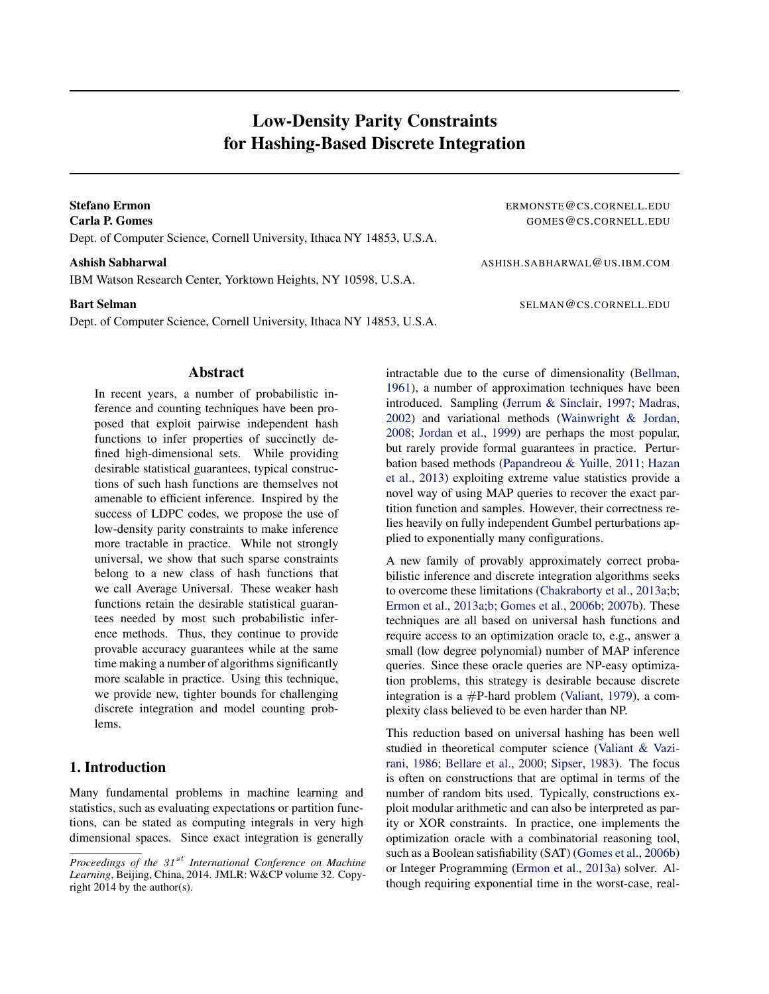# Low-Density Parity Constraints for Hashing-Based Discrete Integration

Dept. of Computer Science, Cornell University, Ithaca NY 14853, U.S.A.

IBM Watson Research Center, Yorktown Heights, NY 10598, U.S.A.

Dept. of Computer Science, Cornell University, Ithaca NY 14853, U.S.A.

# Abstract

In recent years, a number of probabilistic inference and counting techniques have been proposed that exploit pairwise independent hash functions to infer properties of succinctly defined high-dimensional sets. While providing desirable statistical guarantees, typical constructions of such hash functions are themselves not amenable to efficient inference. Inspired by the success of LDPC codes, we propose the use of low-density parity constraints to make inference more tractable in practice. While not strongly universal, we show that such sparse constraints belong to a new class of hash functions that we call Average Universal. These weaker hash functions retain the desirable statistical guarantees needed by most such probabilistic inference methods. Thus, they continue to provide provable accuracy guarantees while at the same time making a number of algorithms significantly more scalable in practice. Using this technique, we provide new, tighter bounds for challenging discrete integration and model counting problems.

## 1. Introduction

Many fundamental problems in machine learning and statistics, such as evaluating expectations or partition functions, can be stated as computing integrals in very high dimensional spaces. Since exact integration is generally

Stefano Ermon **Expression Example 2008** ERMONSTE @CS.CORNELL.EDU **Carla P. Gomes** GOMES GOMES GOMES GOMES GOS.CORNELL.EDU

Ashish Sabharwal Ashish Sabharwal ASHISH.SABHARWAL@US.IBM.COM

**Bart Selman** SELMAN @CS.CORNELL.EDU

intractable due to the curse of dimensionality (Bellman, 1961), a number of approximation techniques have been introduced. Sampling (Jerrum & Sinclair, 1997; Madras, 2002) and variational methods (Wainwright & Jordan, 2008; Jordan et al., 1999) are perhaps the most popular, but rarely provide formal guarantees in practice. Perturbation based methods (Papandreou & Yuille, 2011; Hazan et al., 2013) exploiting extreme value statistics provide a novel way of using MAP queries to recover the exact partition function and samples. However, their correctness relies heavily on fully independent Gumbel perturbations applied to exponentially many configurations.

A new family of provably approximately correct probabilistic inference and discrete integration algorithms seeks to overcome these limitations (Chakraborty et al., 2013a;b; Ermon et al., 2013a;b; Gomes et al., 2006b; 2007b). These techniques are all based on universal hash functions and require access to an optimization oracle to, e.g., answer a small (low degree polynomial) number of MAP inference queries. Since these oracle queries are NP-easy optimization problems, this strategy is desirable because discrete integration is a  $\#P$ -hard problem (Valiant, 1979), a complexity class believed to be even harder than NP.

This reduction based on universal hashing has been well studied in theoretical computer science (Valiant & Vazirani, 1986; Bellare et al., 2000; Sipser, 1983). The focus is often on constructions that are optimal in terms of the number of random bits used. Typically, constructions exploit modular arithmetic and can also be interpreted as parity or XOR constraints. In practice, one implements the optimization oracle with a combinatorial reasoning tool, such as a Boolean satisfiability (SAT) (Gomes et al., 2006b) or Integer Programming (Ermon et al., 2013a) solver. Although requiring exponential time in the worst-case, real-

*Proceedings of the 31<sup>st</sup> International Conference on Machine Learning*, Beijing, China, 2014. JMLR: W&CP volume 32. Copyright 2014 by the author(s).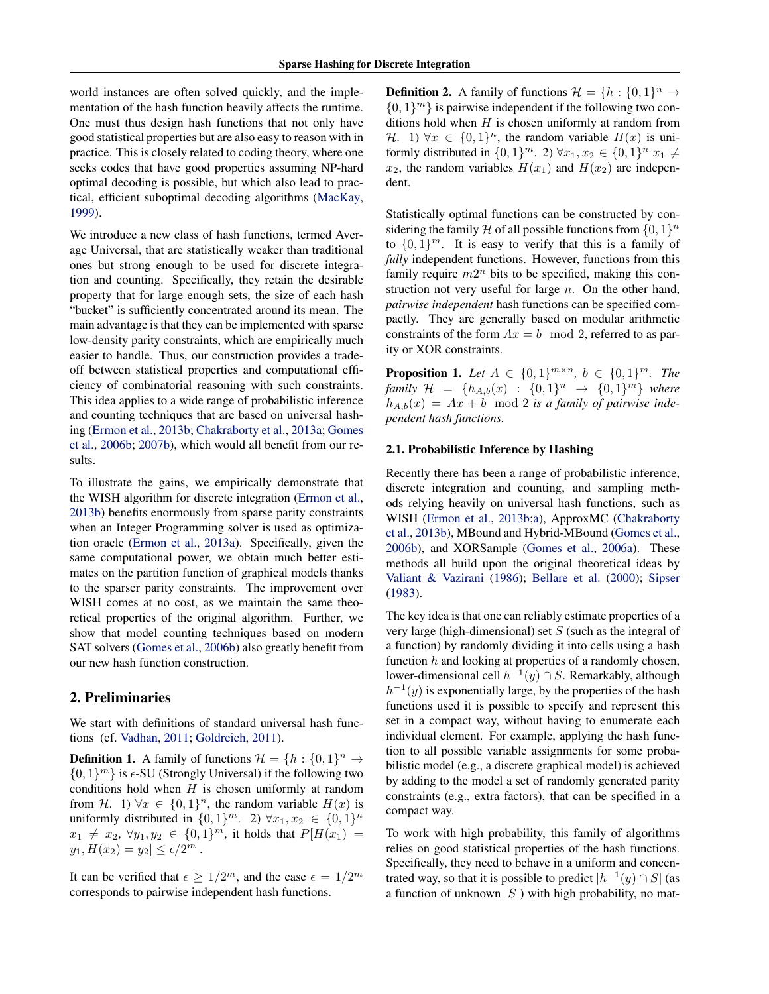world instances are often solved quickly, and the implementation of the hash function heavily affects the runtime. One must thus design hash functions that not only have good statistical properties but are also easy to reason with in practice. This is closely related to coding theory, where one seeks codes that have good properties assuming NP-hard optimal decoding is possible, but which also lead to practical, efficient suboptimal decoding algorithms (MacKay, 1999).

We introduce a new class of hash functions, termed Average Universal, that are statistically weaker than traditional ones but strong enough to be used for discrete integration and counting. Specifically, they retain the desirable property that for large enough sets, the size of each hash "bucket" is sufficiently concentrated around its mean. The main advantage is that they can be implemented with sparse low-density parity constraints, which are empirically much easier to handle. Thus, our construction provides a tradeoff between statistical properties and computational efficiency of combinatorial reasoning with such constraints. This idea applies to a wide range of probabilistic inference and counting techniques that are based on universal hashing (Ermon et al., 2013b; Chakraborty et al., 2013a; Gomes et al., 2006b; 2007b), which would all benefit from our results.

To illustrate the gains, we empirically demonstrate that the WISH algorithm for discrete integration (Ermon et al., 2013b) benefits enormously from sparse parity constraints when an Integer Programming solver is used as optimization oracle (Ermon et al., 2013a). Specifically, given the same computational power, we obtain much better estimates on the partition function of graphical models thanks to the sparser parity constraints. The improvement over WISH comes at no cost, as we maintain the same theoretical properties of the original algorithm. Further, we show that model counting techniques based on modern SAT solvers (Gomes et al., 2006b) also greatly benefit from our new hash function construction.

#### 2. Preliminaries

We start with definitions of standard universal hash functions (cf. Vadhan, 2011; Goldreich, 2011).

**Definition 1.** A family of functions  $\mathcal{H} = \{h : \{0, 1\}^n \to \emptyset\}$  $\{0,1\}^m\}$  is  $\epsilon$ -SU (Strongly Universal) if the following two conditions hold when  $H$  is chosen uniformly at random from H. 1)  $\forall x \in \{0,1\}^n$ , the random variable  $H(x)$  is uniformly distributed in  $\{0,1\}^m$ . 2)  $\forall x_1, x_2 \in \{0,1\}^n$  $x_1 \neq x_2, \forall y_1, y_2 \in \{0, 1\}^m$ , it holds that  $P[H(x_1) =$  $y_1, H(x_2) = y_2 \le \epsilon/2^m$ .

It can be verified that  $\epsilon \geq 1/2^m$ , and the case  $\epsilon = 1/2^m$ corresponds to pairwise independent hash functions.

**Definition 2.** A family of functions  $\mathcal{H} = \{h : \{0, 1\}^n \to \emptyset\}$  $\{0, 1\}^m$ } is pairwise independent if the following two conditions hold when  $H$  is chosen uniformly at random from H. 1)  $\forall x \in \{0,1\}^n$ , the random variable  $H(x)$  is uniformly distributed in  $\{0, 1\}^m$ . 2)  $\forall x_1, x_2 \in \{0, 1\}^n$   $x_1 \neq$  $x_2$ , the random variables  $H(x_1)$  and  $H(x_2)$  are independent.

Statistically optimal functions can be constructed by considering the family H of all possible functions from  $\{0,1\}^n$ to  $\{0,1\}^m$ . It is easy to verify that this is a family of *fully* independent functions. However, functions from this family require  $m2^n$  bits to be specified, making this construction not very useful for large  $n$ . On the other hand, *pairwise independent* hash functions can be specified compactly. They are generally based on modular arithmetic constraints of the form  $Ax = b \mod 2$ , referred to as parity or XOR constraints.

**Proposition 1.** Let  $A \in \{0, 1\}^{m \times n}$ ,  $b \in \{0, 1\}^m$ . The *family*  $H = \{h_{A,b}(x) : \{0,1\}^n \to \{0,1\}^m\}$  *where*  $h_{A,b}(x) = Ax + b \mod 2$  is a family of pairwise inde*pendent hash functions.*

#### 2.1. Probabilistic Inference by Hashing

Recently there has been a range of probabilistic inference, discrete integration and counting, and sampling methods relying heavily on universal hash functions, such as WISH (Ermon et al., 2013b;a), ApproxMC (Chakraborty et al., 2013b), MBound and Hybrid-MBound (Gomes et al., 2006b), and XORSample (Gomes et al., 2006a). These methods all build upon the original theoretical ideas by Valiant & Vazirani (1986); Bellare et al. (2000); Sipser (1983).

The key idea is that one can reliably estimate properties of a very large (high-dimensional) set  $S$  (such as the integral of a function) by randomly dividing it into cells using a hash function  $h$  and looking at properties of a randomly chosen, lower-dimensional cell  $h^{-1}(y) \cap S$ . Remarkably, although  $h^{-1}(y)$  is exponentially large, by the properties of the hash functions used it is possible to specify and represent this set in a compact way, without having to enumerate each individual element. For example, applying the hash function to all possible variable assignments for some probabilistic model (e.g., a discrete graphical model) is achieved by adding to the model a set of randomly generated parity constraints (e.g., extra factors), that can be specified in a compact way.

To work with high probability, this family of algorithms relies on good statistical properties of the hash functions. Specifically, they need to behave in a uniform and concentrated way, so that it is possible to predict  $|h^{-1}(y) \cap S|$  (as a function of unknown  $|S|$ ) with high probability, no mat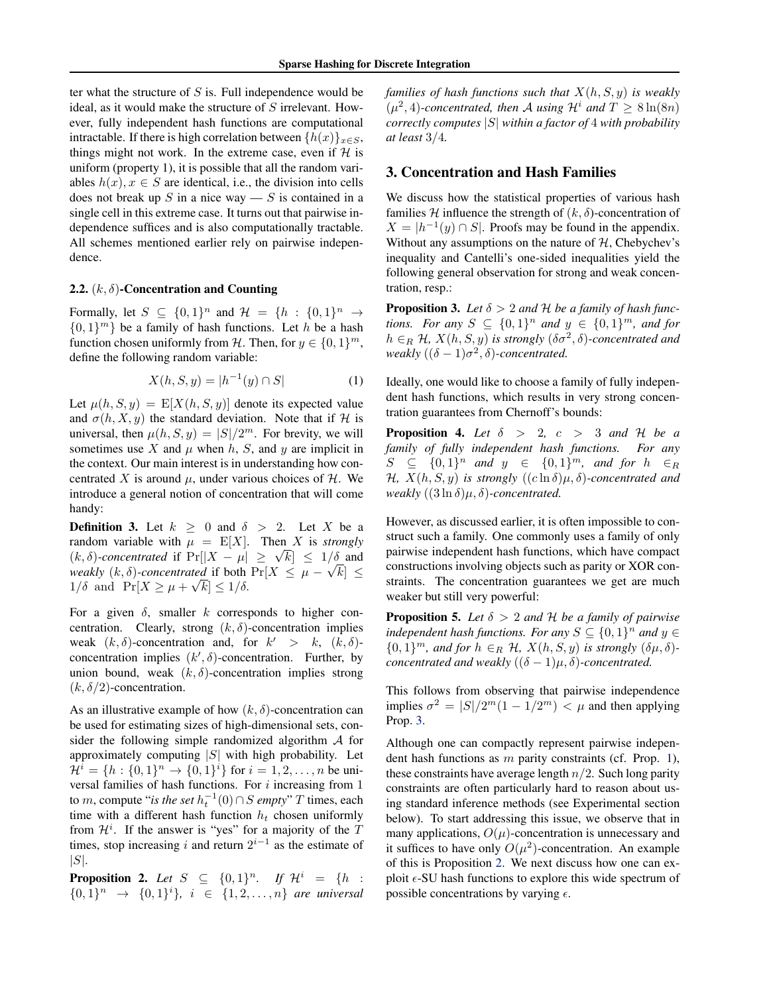ter what the structure of  $S$  is. Full independence would be ideal, as it would make the structure of S irrelevant. However, fully independent hash functions are computational intractable. If there is high correlation between  $\{h(x)\}_{x\in S}$ , things might not work. In the extreme case, even if  $H$  is uniform (property 1), it is possible that all the random variables  $h(x)$ ,  $x \in S$  are identical, i.e., the division into cells does not break up S in a nice way — S is contained in a single cell in this extreme case. It turns out that pairwise independence suffices and is also computationally tractable. All schemes mentioned earlier rely on pairwise independence.

#### 2.2.  $(k, \delta)$ -Concentration and Counting

Formally, let  $S \subseteq \{0,1\}^n$  and  $\mathcal{H} = \{h : \{0,1\}^n \to$  $\{0,1\}^m$ } be a family of hash functions. Let h be a hash function chosen uniformly from H. Then, for  $y \in \{0, 1\}^m$ , define the following random variable:

$$
X(h, S, y) = |h^{-1}(y) \cap S|
$$
 (1)

Let  $\mu(h, S, y) = E[X(h, S, y)]$  denote its expected value and  $\sigma(h, X, y)$  the standard deviation. Note that if H is universal, then  $\mu(h, S, y) = |S|/2^m$ . For brevity, we will sometimes use X and  $\mu$  when h, S, and y are implicit in the context. Our main interest is in understanding how concentrated X is around  $\mu$ , under various choices of H. We introduce a general notion of concentration that will come handy:

**Definition 3.** Let  $k > 0$  and  $\delta > 2$ . Let X be a random variable with  $\mu = \mathbb{E}[X]$ . Then X is *strongly* random variable with  $\mu = E[X]$ . Then X is *strongly*<br>(*k*,  $\delta$ )-concentrated if  $Pr[|X - \mu| \ge \sqrt{k}] \le 1/\delta$  and *weakly*  $(k, \delta)$ -*concentrated* if both  $Pr[X \leq \mu - \sqrt{k}] \leq$  $1/\delta$  and  $\Pr[X \geq \mu + \sqrt{k}] \leq 1/\delta$ .

For a given  $\delta$ , smaller k corresponds to higher concentration. Clearly, strong  $(k, \delta)$ -concentration implies weak  $(k, \delta)$ -concentration and, for  $k' > k$ ,  $(k, \delta)$ concentration implies  $(k', \delta)$ -concentration. Further, by union bound, weak  $(k, \delta)$ -concentration implies strong  $(k, \delta/2)$ -concentration.

As an illustrative example of how  $(k, \delta)$ -concentration can be used for estimating sizes of high-dimensional sets, consider the following simple randomized algorithm  $A$  for approximately computing  $|S|$  with high probability. Let  $\mathcal{H}^i = \{h : \{0,1\}^n \to \{0,1\}^i\}$  for  $i = 1,2,\ldots,n$  be universal families of hash functions. For  $i$  increasing from 1 to m, compute "*is the set*  $h_t^{-1}(0) \cap S$  *empty*" T times, each time with a different hash function  $h_t$  chosen uniformly from  $\mathcal{H}^i$ . If the answer is "yes" for a majority of the T times, stop increasing i and return  $2^{i-1}$  as the estimate of  $|S|$ .

**Proposition 2.** Let  $S \subseteq \{0,1\}^n$ . If  $\mathcal{H}^i = \{h :$  $\{0,1\}^n \rightarrow \{0,1\}^i$ ,  $i \in \{1,2,\ldots,n\}$  are universal *families of hash functions such that* X(h, S, y) *is weakly*  $(\mu^2, 4)$ -concentrated, then A using  $\mathcal{H}^i$  and  $T \geq 8 \ln(8n)$ *correctly computes* |S| *within a factor of* 4 *with probability at least* 3/4*.*

### 3. Concentration and Hash Families

We discuss how the statistical properties of various hash families H influence the strength of  $(k, \delta)$ -concentration of  $X = |h^{-1}(y) \cap S|$ . Proofs may be found in the appendix. Without any assumptions on the nature of  $H$ , Chebychev's inequality and Cantelli's one-sided inequalities yield the following general observation for strong and weak concentration, resp.:

**Proposition 3.** Let  $\delta > 2$  and  $\mathcal{H}$  be a family of hash func*tions.* For any  $S \subseteq \{0,1\}^n$  and  $y \in \{0,1\}^m$ , and for  $h \in_R \mathcal{H}$ ,  $X(h, S, y)$  *is strongly*  $(\delta \sigma^2, \delta)$ -concentrated and *weakly*  $((\delta - 1)\sigma^2, \delta)$ -concentrated.

Ideally, one would like to choose a family of fully independent hash functions, which results in very strong concentration guarantees from Chernoff's bounds:

**Proposition 4.** Let  $\delta$  > 2,  $c$  > 3 and H be a *family of fully independent hash functions. For any*  $S \subseteq \{0,1\}^n$  and  $y \in \{0,1\}^m$ , and for  $h \in_R$ H<sub>*i*</sub>,  $X(h, S, y)$  *is strongly*  $((c \ln δ)μ, δ)$ -concentrated and *weakly*  $((3 \ln \delta)\mu, \delta)$ *-concentrated.* 

However, as discussed earlier, it is often impossible to construct such a family. One commonly uses a family of only pairwise independent hash functions, which have compact constructions involving objects such as parity or XOR constraints. The concentration guarantees we get are much weaker but still very powerful:

**Proposition 5.** Let  $\delta > 2$  and H be a family of pairwise *independent hash functions. For any*  $S \subseteq \{0,1\}^n$  *and*  $y \in$  $\{0,1\}^m$ , and for  $h \in_R \mathcal{H}$ ,  $X(h, S, y)$  is strongly  $(\delta \mu, \delta)$ *concentrated and weakly*  $((\delta - 1)\mu, \delta)$ *-concentrated.* 

This follows from observing that pairwise independence implies  $\sigma^2 = |S|/2^m(1 - 1/2^m) < \mu$  and then applying Prop. 3.

Although one can compactly represent pairwise independent hash functions as m parity constraints (cf. Prop. 1), these constraints have average length  $n/2$ . Such long parity constraints are often particularly hard to reason about using standard inference methods (see Experimental section below). To start addressing this issue, we observe that in many applications,  $O(\mu)$ -concentration is unnecessary and it suffices to have only  $O(\mu^2)$ -concentration. An example of this is Proposition 2. We next discuss how one can exploit  $\epsilon$ -SU hash functions to explore this wide spectrum of possible concentrations by varying  $\epsilon$ .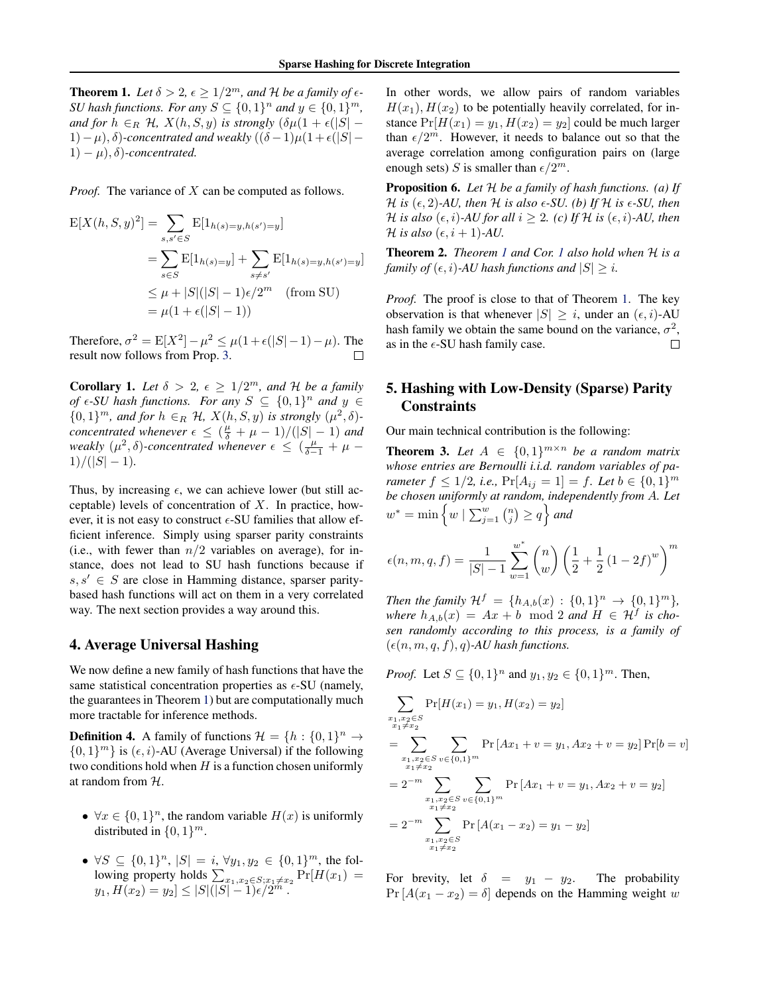**Theorem 1.** Let  $\delta > 2$ ,  $\epsilon \geq 1/2^m$ , and H be a family of  $\epsilon$ -*SU* hash functions. For any  $S \subseteq \{0,1\}^n$  and  $y \in \{0,1\}^m$ , *and for*  $h \in_R \mathcal{H}$ ,  $X(h, S, y)$  *is strongly*  $(\delta \mu (1 + \epsilon (|S| -$ 1)− $\mu$ ),  $\delta$ )-concentrated and weakly  $((\delta -1)\mu(1 + \epsilon)|S| 1) - \mu$ ,  $\delta$ *)*-concentrated.

*Proof.* The variance of X can be computed as follows.

$$
E[X(h, S, y)^{2}] = \sum_{s, s' \in S} E[1_{h(s) = y, h(s') = y}]
$$
  
= 
$$
\sum_{s \in S} E[1_{h(s) = y}] + \sum_{s \neq s'} E[1_{h(s) = y, h(s') = y}]
$$
  

$$
\leq \mu + |S|(|S| - 1)\epsilon/2^{m} \quad \text{(from SU)}
$$
  
= 
$$
\mu(1 + \epsilon(|S| - 1))
$$

Therefore,  $\sigma^2 = E[X^2] - \mu^2 \le \mu(1 + \epsilon(|S| - 1) - \mu)$ . The result now follows from Prop. 3.

**Corollary 1.** Let  $\delta > 2$ ,  $\epsilon \geq 1/2^m$ , and H be a family *of*  $\epsilon$ -*SU* hash functions. For any  $S \subseteq \{0,1\}^n$  and  $y \in$  $\{0,1\}^m$ , and for  $h \in_R \mathcal{H}$ ,  $X(h, S, y)$  is strongly  $(\mu^2, \delta)$ *concentrated whenever*  $\epsilon \leq (\frac{\mu}{\delta} + \mu - 1)/(|S| - 1)$  *and weakly*  $(\mu^2, \delta)$ -concentrated whenever  $\epsilon \leq (\frac{\mu}{\delta - 1} + \mu - \frac{\epsilon}{\delta})$  $1)/(|S|-1)$ .

Thus, by increasing  $\epsilon$ , we can achieve lower (but still acceptable) levels of concentration of  $X$ . In practice, however, it is not easy to construct  $\epsilon$ -SU families that allow efficient inference. Simply using sparser parity constraints (i.e., with fewer than  $n/2$  variables on average), for instance, does not lead to SU hash functions because if  $s, s' \in S$  are close in Hamming distance, sparser paritybased hash functions will act on them in a very correlated way. The next section provides a way around this.

### 4. Average Universal Hashing

We now define a new family of hash functions that have the same statistical concentration properties as  $\epsilon$ -SU (namely, the guarantees in Theorem 1) but are computationally much more tractable for inference methods.

**Definition 4.** A family of functions  $\mathcal{H} = \{h : \{0, 1\}^n \to \emptyset\}$  $\{0, 1\}^m$ } is  $(\epsilon, i)$ -AU (Average Universal) if the following two conditions hold when  $H$  is a function chosen uniformly at random from H.

- $\forall x \in \{0,1\}^n$ , the random variable  $H(x)$  is uniformly distributed in  $\{0, 1\}^m$ .
- $\forall S \subseteq \{0,1\}^n$ ,  $|S| = i$ ,  $\forall y_1, y_2 \in \{0,1\}^m$ , the following property holds  $\sum_{x_1, x_2 \in S; x_1 \neq x_2} \Pr[H(x_1) =$  $y_1, H(x_2) = y_2 \leq |S|(|S|-1)\epsilon/2^m$ .

In other words, we allow pairs of random variables  $H(x_1), H(x_2)$  to be potentially heavily correlated, for instance  $Pr[H(x_1) = y_1, H(x_2) = y_2]$  could be much larger than  $\epsilon/2^m$ . However, it needs to balance out so that the average correlation among configuration pairs on (large enough sets) S is smaller than  $\epsilon/2^m$ .

Proposition 6. *Let* H *be a family of hash functions. (a) If H is* ( $\epsilon$ , 2)-AU, then H *is also*  $\epsilon$ -SU. (b) If H *is*  $\epsilon$ -SU, then *H is also* ( $\epsilon$ , *i*)*-AU for all*  $i \geq 2$ *.* (*c*) If H *is* ( $\epsilon$ , *i*)*-AU*, *then H* is also  $(\epsilon, i + 1)$ -AU.

Theorem 2. *Theorem 1 and Cor. 1 also hold when* H *is a family of*  $(\epsilon, i)$ *-AU hash functions and*  $|S| \geq i$ *.* 

*Proof.* The proof is close to that of Theorem 1. The key observation is that whenever  $|S| > i$ , under an  $(\epsilon, i)$ -AU hash family we obtain the same bound on the variance,  $\sigma^2$ , as in the  $\epsilon$ -SU hash family case.  $\Box$ 

# 5. Hashing with Low-Density (Sparse) Parity **Constraints**

Our main technical contribution is the following:

**Theorem 3.** Let  $A \in \{0,1\}^{m \times n}$  be a random matrix *whose entries are Bernoulli i.i.d. random variables of parameter*  $f \leq 1/2$ , *i.e.*,  $Pr[A_{ij} = 1] = f$ . Let  $b \in \{0, 1\}^m$ *be chosen uniformly at random, independently from* A*. Let*  $w^* = \min \left\{ w \mid \sum_{j=1}^w {n \choose j} \ge q \right\}$  and

$$
\epsilon(n, m, q, f) = \frac{1}{|S| - 1} \sum_{w=1}^{w^*} {n \choose w} \left(\frac{1}{2} + \frac{1}{2} (1 - 2f)^w\right)^m
$$

*Then the family*  $\mathcal{H}^f = \{h_{A,b}(x) : \{0,1\}^n \to \{0,1\}^m\},\$ *where*  $h_{A,b}(x) = Ax + b \mod 2$  *and*  $H \in H^f$  *is chosen randomly according to this process, is a family of*  $(\epsilon(n, m, q, f), q)$ -AU hash functions.

*Proof.* Let  $S \subseteq \{0, 1\}^n$  and  $y_1, y_2 \in \{0, 1\}^m$ . Then,

$$
\sum_{\substack{x_1, x_2 \in S \\ x_1 \neq x_2}} \Pr[H(x_1) = y_1, H(x_2) = y_2]
$$
\n
$$
= \sum_{\substack{x_1, x_2 \in S \\ x_1 \neq x_2}} \sum_{v \in \{0, 1\}^m} \Pr[A x_1 + v = y_1, Ax_2 + v = y_2] \Pr[b = v]
$$
\n
$$
= 2^{-m} \sum_{\substack{x_1, x_2 \in S \\ x_1 \neq x_2}} \sum_{v \in \{0, 1\}^m} \Pr[A x_1 + v = y_1, Ax_2 + v = y_2]
$$
\n
$$
= 2^{-m} \sum_{\substack{x_1, x_2 \in S \\ x_1 \neq x_2}} \Pr[A(x_1 - x_2) = y_1 - y_2]
$$

For brevity, let  $\delta = y_1 - y_2$ . The probability  $Pr[A(x_1 - x_2) = \delta]$  depends on the Hamming weight w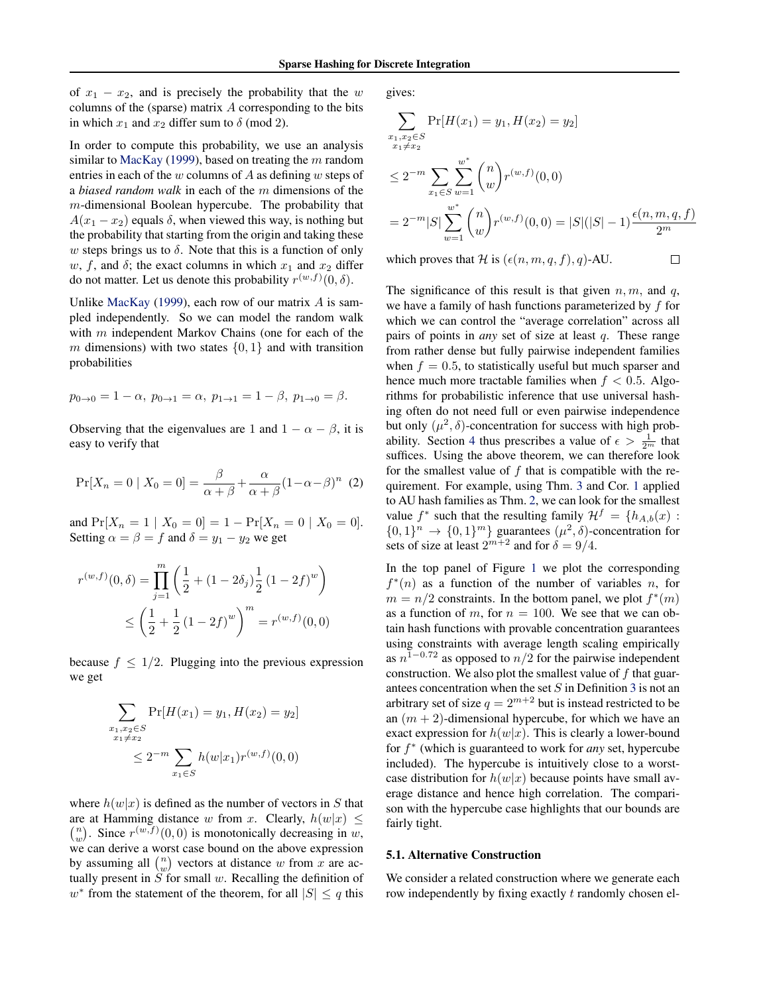of  $x_1 - x_2$ , and is precisely the probability that the w columns of the (sparse) matrix  $A$  corresponding to the bits in which  $x_1$  and  $x_2$  differ sum to  $\delta$  (mod 2).

In order to compute this probability, we use an analysis similar to MacKay (1999), based on treating the  $m$  random entries in each of the w columns of A as defining w steps of a *biased random walk* in each of the m dimensions of the m-dimensional Boolean hypercube. The probability that  $A(x_1 - x_2)$  equals  $\delta$ , when viewed this way, is nothing but the probability that starting from the origin and taking these w steps brings us to  $\delta$ . Note that this is a function of only w, f, and  $\delta$ ; the exact columns in which  $x_1$  and  $x_2$  differ do not matter. Let us denote this probability  $r^{(w,f)}(0,\delta)$ .

Unlike MacKay (1999), each row of our matrix  $A$  is sampled independently. So we can model the random walk with m independent Markov Chains (one for each of the m dimensions) with two states  $\{0, 1\}$  and with transition probabilities

$$
p_{0\to 0} = 1 - \alpha, p_{0\to 1} = \alpha, p_{1\to 1} = 1 - \beta, p_{1\to 0} = \beta.
$$

Observing that the eigenvalues are 1 and  $1 - \alpha - \beta$ , it is easy to verify that

$$
\Pr[X_n = 0 \mid X_0 = 0] = \frac{\beta}{\alpha + \beta} + \frac{\alpha}{\alpha + \beta} (1 - \alpha - \beta)^n \tag{2}
$$

and  $Pr[X_n = 1 | X_0 = 0] = 1 - Pr[X_n = 0 | X_0 = 0].$ Setting  $\alpha = \beta = f$  and  $\delta = y_1 - y_2$  we get

$$
r^{(w,f)}(0,\delta) = \prod_{j=1}^{m} \left(\frac{1}{2} + (1 - 2\delta_j) \frac{1}{2} (1 - 2f)^w\right)
$$
  
 
$$
\leq \left(\frac{1}{2} + \frac{1}{2} (1 - 2f)^w\right)^m = r^{(w,f)}(0,0)
$$

because  $f \leq 1/2$ . Plugging into the previous expression we get

$$
\sum_{\substack{x_1, x_2 \in S \\ x_1 \neq x_2}} \Pr[H(x_1) = y_1, H(x_2) = y_2]
$$
  

$$
\leq 2^{-m} \sum_{x_1 \in S} h(w|x_1) r^{(w,f)}(0,0)
$$

where  $h(w|x)$  is defined as the number of vectors in S that are at Hamming distance w from x. Clearly,  $h(w|x) \leq$  $\binom{n}{w}$ . Since  $r^{(w,f)}(0,0)$  is monotonically decreasing in w, we can derive a worst case bound on the above expression by assuming all  $\binom{n}{w}$  vectors at distance w from x are actually present in  $\tilde{S}$  for small w. Recalling the definition of  $w^*$  from the statement of the theorem, for all  $|S| \leq q$  this

gives:

$$
\sum_{\substack{x_1, x_2 \in S \\ x_1 \neq x_2}} \Pr[H(x_1) = y_1, H(x_2) = y_2]
$$
  
\n
$$
\leq 2^{-m} \sum_{x_1 \in S} \sum_{w=1}^{w^*} {n \choose w} r^{(w, f)}(0, 0)
$$
  
\n
$$
= 2^{-m} |S| \sum_{w=1}^{w^*} {n \choose w} r^{(w, f)}(0, 0) = |S|(|S| - 1) \frac{\epsilon(n, m, q, f)}{2^m}
$$

 $\Box$ 

which proves that H is  $(\epsilon(n, m, q, f), q)$ -AU.

The significance of this result is that given  $n, m$ , and  $q$ , we have a family of hash functions parameterized by f for which we can control the "average correlation" across all pairs of points in *any* set of size at least q. These range from rather dense but fully pairwise independent families when  $f = 0.5$ , to statistically useful but much sparser and hence much more tractable families when  $f < 0.5$ . Algorithms for probabilistic inference that use universal hashing often do not need full or even pairwise independence but only  $(\mu^2, \delta)$ -concentration for success with high probability. Section 4 thus prescribes a value of  $\epsilon > \frac{1}{2^m}$  that suffices. Using the above theorem, we can therefore look for the smallest value of  $f$  that is compatible with the requirement. For example, using Thm. 3 and Cor. 1 applied to AU hash families as Thm. 2, we can look for the smallest value  $f^*$  such that the resulting family  $\mathcal{H}^f = \{h_{A,b}(x) :$  $\{0,1\}^n \rightarrow \{0,1\}^m$  guarantees  $(\mu^2, \delta)$ -concentration for sets of size at least  $2^{m+2}$  and for  $\delta = 9/4$ .

In the top panel of Figure 1 we plot the corresponding  $f^*(n)$  as a function of the number of variables n, for  $m = n/2$  constraints. In the bottom panel, we plot  $f^*(m)$ as a function of m, for  $n = 100$ . We see that we can obtain hash functions with provable concentration guarantees using constraints with average length scaling empirically as  $n^{1-0.72}$  as opposed to  $n/2$  for the pairwise independent construction. We also plot the smallest value of  $f$  that guarantees concentration when the set  $S$  in Definition 3 is not an arbitrary set of size  $q = 2^{m+2}$  but is instead restricted to be an  $(m + 2)$ -dimensional hypercube, for which we have an exact expression for  $h(w|x)$ . This is clearly a lower-bound for f ∗ (which is guaranteed to work for *any* set, hypercube included). The hypercube is intuitively close to a worstcase distribution for  $h(w|x)$  because points have small average distance and hence high correlation. The comparison with the hypercube case highlights that our bounds are fairly tight.

#### 5.1. Alternative Construction

We consider a related construction where we generate each row independently by fixing exactly t randomly chosen el-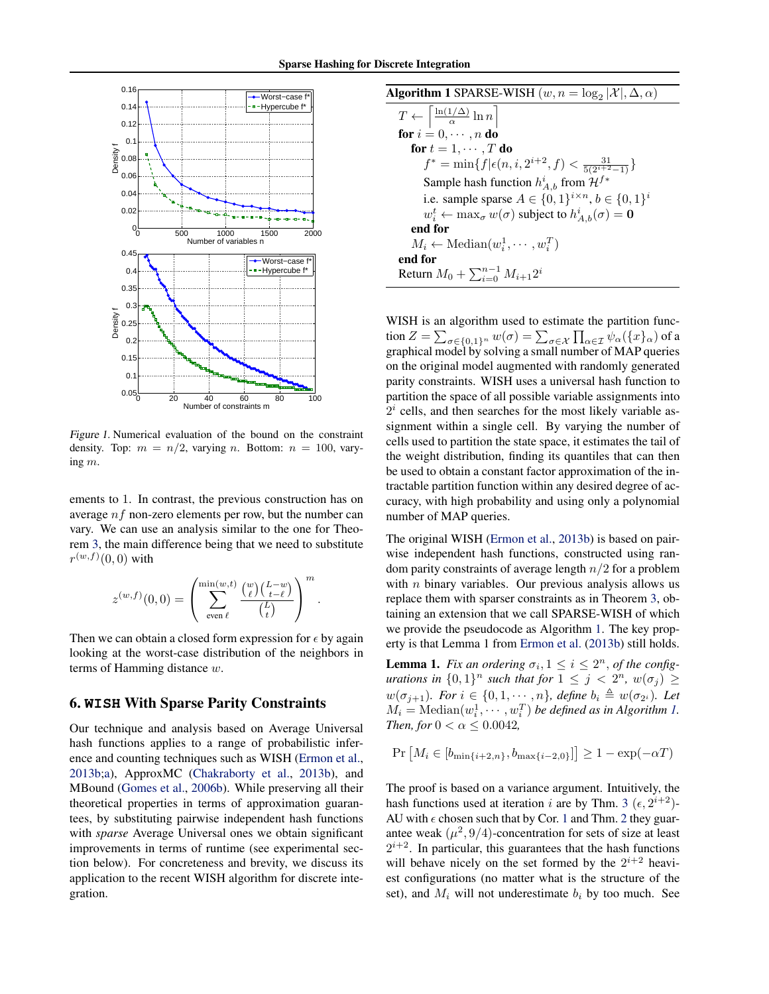

Figure 1. Numerical evaluation of the bound on the constraint density. Top:  $m = n/2$ , varying n. Bottom:  $n = 100$ , varying m.

ements to 1. In contrast, the previous construction has on average  $nf$  non-zero elements per row, but the number can vary. We can use an analysis similar to the one for Theorem 3, the main difference being that we need to substitute  $r^{(w,f)}(0,0)$  with

$$
z^{(w,f)}(0,0) = \left(\sum_{\substack{\text{even } \ell}}^{\min(w,t)} \frac{\binom{w}{\ell}\binom{L-w}{t-\ell}}{\binom{L}{t}}\right)^m.
$$

Then we can obtain a closed form expression for  $\epsilon$  by again looking at the worst-case distribution of the neighbors in terms of Hamming distance w.

# 6. **WISH** With Sparse Parity Constraints

Our technique and analysis based on Average Universal hash functions applies to a range of probabilistic inference and counting techniques such as WISH (Ermon et al., 2013b;a), ApproxMC (Chakraborty et al., 2013b), and MBound (Gomes et al., 2006b). While preserving all their theoretical properties in terms of approximation guarantees, by substituting pairwise independent hash functions with *sparse* Average Universal ones we obtain significant improvements in terms of runtime (see experimental section below). For concreteness and brevity, we discuss its application to the recent WISH algorithm for discrete integration.

**Algorithm 1 SPARSE-WISH** 
$$
(w, n = \log_2 |\mathcal{X}|, \Delta, \alpha)
$$
\n $T \leftarrow \begin{bmatrix} \frac{\ln(1/\Delta)}{\alpha} \ln n \\ \text{for } i = 0, \cdots, n \text{ do} \end{bmatrix}$ \n**for**  $i = 1, \cdots, T$  **do**\n $f^* = \min\{f | \epsilon(n, i, 2^{i+2}, f) < \frac{31}{5(2^{i+2}-1)}\}$ \nSample hash function  $h_{A,b}^i$  from  $\mathcal{H}^{f*}$ 

\ni.e. sample sparse  $A \in \{0, 1\}^{i \times n}$ ,  $b \in \{0, 1\}^i$ 

\n $w_i^t \leftarrow \max_{\sigma} w(\sigma)$  subject to  $h_{A,b}^i(\sigma) = \mathbf{0}$ \nend for

\n $M_i \leftarrow \text{Median}(w_i^1, \cdots, w_i^T)$ \nend for

\nReturn  $M_0 + \sum_{i=0}^{n-1} M_{i+1} 2^i$ 

WISH is an algorithm used to estimate the partition function  $Z=\sum_{\sigma\in\{0,1\}^n}w(\sigma)=\sum_{\sigma\in\mathcal X}\prod_{\alpha\in\mathcal I}\psi_\alpha(\{x\}_\alpha)$  of a graphical model by solving a small number of MAP queries on the original model augmented with randomly generated parity constraints. WISH uses a universal hash function to partition the space of all possible variable assignments into  $2<sup>i</sup>$  cells, and then searches for the most likely variable assignment within a single cell. By varying the number of cells used to partition the state space, it estimates the tail of the weight distribution, finding its quantiles that can then be used to obtain a constant factor approximation of the intractable partition function within any desired degree of accuracy, with high probability and using only a polynomial number of MAP queries.

The original WISH (Ermon et al., 2013b) is based on pairwise independent hash functions, constructed using random parity constraints of average length  $n/2$  for a problem with  $n$  binary variables. Our previous analysis allows us replace them with sparser constraints as in Theorem 3, obtaining an extension that we call SPARSE-WISH of which we provide the pseudocode as Algorithm 1. The key property is that Lemma 1 from Ermon et al. (2013b) still holds.

**Lemma 1.** *Fix an ordering*  $\sigma_i$ ,  $1 \leq i \leq 2^n$ , *of the configurations in*  $\{0,1\}^n$  *such that for*  $1 \leq j < 2^n$ *,*  $w(\sigma_j) \geq$  $w(\sigma_{j+1})$ *. For*  $i \in \{0, 1, \dots, n\}$ *, define*  $b_i \triangleq w(\sigma_{2^i})$ *. Let*  $M_i = \text{Median}(w_i^1, \cdots, w_i^T)$  *be defined as in Algorithm 1. Then, for*  $0 < \alpha \leq 0.0042$ ,

$$
Pr[M_i \in [b_{\min\{i+2,n\}}, b_{\max\{i-2,0\}}]] \ge 1 - exp(-\alpha T)
$$

The proof is based on a variance argument. Intuitively, the hash functions used at iteration i are by Thm. 3 ( $\epsilon$ ,  $2^{i+2}$ )-AU with  $\epsilon$  chosen such that by Cor. 1 and Thm. 2 they guarantee weak  $(\mu^2, 9/4)$ -concentration for sets of size at least  $2^{i+2}$ . In particular, this guarantees that the hash functions will behave nicely on the set formed by the  $2^{i+2}$  heaviest configurations (no matter what is the structure of the set), and  $M_i$  will not underestimate  $b_i$  by too much. See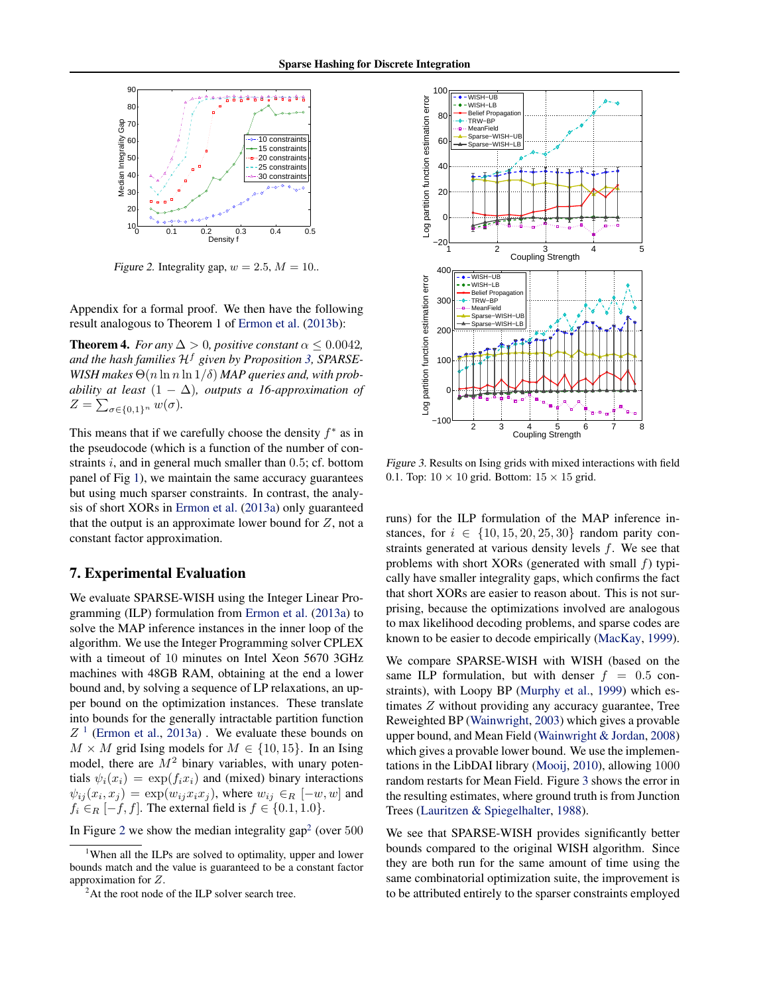

Figure 2. Integrality gap,  $w = 2.5, M = 10$ .

Appendix for a formal proof. We then have the following result analogous to Theorem 1 of Ermon et al. (2013b):

**Theorem 4.** *For any*  $\Delta > 0$ *, positive constant*  $\alpha \leq 0.0042$ *,* and the hash families  $H^f$  given by Proposition 3, SPARSE-*WISH* makes  $\Theta(n \ln n \ln 1/\delta)$  *MAP queries and, with probability at least*  $(1 - \Delta)$ *, outputs a 16-approximation of*  $Z = \sum_{\sigma \in \{0,1\}^n} w(\sigma)$ .

This means that if we carefully choose the density  $f^*$  as in the pseudocode (which is a function of the number of constraints  $i$ , and in general much smaller than  $0.5$ ; cf. bottom panel of Fig 1), we maintain the same accuracy guarantees but using much sparser constraints. In contrast, the analysis of short XORs in Ermon et al. (2013a) only guaranteed that the output is an approximate lower bound for  $Z$ , not a constant factor approximation.

#### 7. Experimental Evaluation

We evaluate SPARSE-WISH using the Integer Linear Programming (ILP) formulation from Ermon et al. (2013a) to solve the MAP inference instances in the inner loop of the algorithm. We use the Integer Programming solver CPLEX with a timeout of 10 minutes on Intel Xeon 5670 3GHz machines with 48GB RAM, obtaining at the end a lower bound and, by solving a sequence of LP relaxations, an upper bound on the optimization instances. These translate into bounds for the generally intractable partition function  $Z<sup>1</sup>$  (Ermon et al., 2013a). We evaluate these bounds on  $M \times M$  grid Ising models for  $M \in \{10, 15\}$ . In an Ising model, there are  $M^2$  binary variables, with unary potentials  $\psi_i(x_i) = \exp(f_i x_i)$  and (mixed) binary interactions  $\psi_{ij}(x_i, x_j) = \exp(w_{ij}x_i x_j)$ , where  $w_{ij} \in_R [-w, w]$  and  $f_i \in_R [-f, f]$ . The external field is  $f \in \{0.1, 1.0\}$ .

In Figure 2 we show the median integrality gap<sup>2</sup> (over  $500$ 



Figure 3. Results on Ising grids with mixed interactions with field 0.1. Top:  $10 \times 10$  grid. Bottom:  $15 \times 15$  grid.

runs) for the ILP formulation of the MAP inference instances, for  $i \in \{10, 15, 20, 25, 30\}$  random parity constraints generated at various density levels f. We see that problems with short XORs (generated with small  $f$ ) typically have smaller integrality gaps, which confirms the fact that short XORs are easier to reason about. This is not surprising, because the optimizations involved are analogous to max likelihood decoding problems, and sparse codes are known to be easier to decode empirically (MacKay, 1999).

We compare SPARSE-WISH with WISH (based on the same ILP formulation, but with denser  $f = 0.5$  constraints), with Loopy BP (Murphy et al., 1999) which estimates Z without providing any accuracy guarantee, Tree Reweighted BP (Wainwright, 2003) which gives a provable upper bound, and Mean Field (Wainwright & Jordan, 2008) which gives a provable lower bound. We use the implementations in the LibDAI library (Mooij, 2010), allowing 1000 random restarts for Mean Field. Figure 3 shows the error in the resulting estimates, where ground truth is from Junction Trees (Lauritzen & Spiegelhalter, 1988).

We see that SPARSE-WISH provides significantly better bounds compared to the original WISH algorithm. Since they are both run for the same amount of time using the same combinatorial optimization suite, the improvement is to be attributed entirely to the sparser constraints employed

<sup>&</sup>lt;sup>1</sup>When all the ILPs are solved to optimality, upper and lower bounds match and the value is guaranteed to be a constant factor approximation for Z.

<sup>&</sup>lt;sup>2</sup>At the root node of the ILP solver search tree.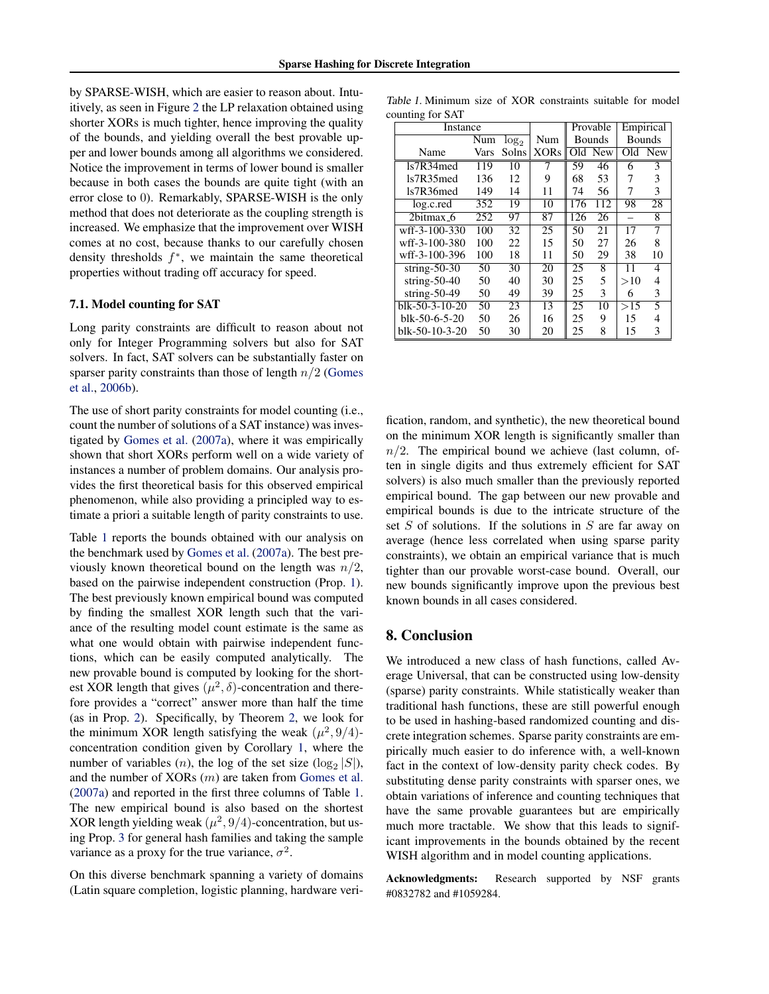by SPARSE-WISH, which are easier to reason about. Intuitively, as seen in Figure 2 the LP relaxation obtained using shorter XORs is much tighter, hence improving the quality of the bounds, and yielding overall the best provable upper and lower bounds among all algorithms we considered. Notice the improvement in terms of lower bound is smaller because in both cases the bounds are quite tight (with an error close to 0). Remarkably, SPARSE-WISH is the only method that does not deteriorate as the coupling strength is increased. We emphasize that the improvement over WISH comes at no cost, because thanks to our carefully chosen density thresholds  $f^*$ , we maintain the same theoretical properties without trading off accuracy for speed.

#### 7.1. Model counting for SAT

Long parity constraints are difficult to reason about not only for Integer Programming solvers but also for SAT solvers. In fact, SAT solvers can be substantially faster on sparser parity constraints than those of length  $n/2$  (Gomes et al., 2006b).

The use of short parity constraints for model counting (i.e., count the number of solutions of a SAT instance) was investigated by Gomes et al. (2007a), where it was empirically shown that short XORs perform well on a wide variety of instances a number of problem domains. Our analysis provides the first theoretical basis for this observed empirical phenomenon, while also providing a principled way to estimate a priori a suitable length of parity constraints to use.

Table 1 reports the bounds obtained with our analysis on the benchmark used by Gomes et al. (2007a). The best previously known theoretical bound on the length was  $n/2$ , based on the pairwise independent construction (Prop. 1). The best previously known empirical bound was computed by finding the smallest XOR length such that the variance of the resulting model count estimate is the same as what one would obtain with pairwise independent functions, which can be easily computed analytically. The new provable bound is computed by looking for the shortest XOR length that gives  $(\mu^2, \delta)$ -concentration and therefore provides a "correct" answer more than half the time (as in Prop. 2). Specifically, by Theorem 2, we look for the minimum XOR length satisfying the weak  $(\mu^2, 9/4)$ concentration condition given by Corollary 1, where the number of variables  $(n)$ , the log of the set size  $(\log_2 |S|)$ , and the number of XORs (m) are taken from Gomes et al. (2007a) and reported in the first three columns of Table 1. The new empirical bound is also based on the shortest XOR length yielding weak  $(\mu^2, 9/4)$ -concentration, but using Prop. 3 for general hash families and taking the sample variance as a proxy for the true variance,  $\sigma^2$ .

On this diverse benchmark spanning a variety of domains (Latin square completion, logistic planning, hardware veri-

Table 1. Minimum size of XOR constraints suitable for model counting for SAT

| Instance         |      |         |                 | Provable      |     | Empirical     |                |
|------------------|------|---------|-----------------|---------------|-----|---------------|----------------|
|                  | Num  | $log_2$ | Num             | <b>Bounds</b> |     | <b>Bounds</b> |                |
| Name             | Vars | Solns   | <b>XORs</b>     | Old           | New | Old           | <b>New</b>     |
| ls7R34med        | 119  | 10      | 7               | 59            | 46  | 6             | 3              |
| ls7R35med        | 136  | 12      | 9               | 68            | 53  | 7             | 3              |
| 1s7R36med        | 149  | 14      | 11              | 74            | 56  | 7             | 3              |
| log.c.red        | 352  | 19      | $\overline{10}$ | 176           | 112 | 98            | 28             |
| $2$ hitmax $-6$  | 252  | 97      | 87              | 126           | 26  |               | 8              |
| wff-3-100-330    | 100  | 32      | 25              | 50            | 21  | 17            | 7              |
| wff-3-100-380    | 100  | 22      | 15              | 50            | 27  | 26            | 8              |
| wff-3-100-396    | 100  | 18      | 11              | 50            | 29  | 38            | 10             |
| $string-50-30$   | 50   | 30      | 20              | 25            | 8   | 11            | 4              |
| string- $50-40$  | 50   | 40      | 30              | 25            | 5   | >10           | 4              |
| string- $50-49$  | 50   | 49      | 39              | 25            | 3   | 6             | 3              |
| $blk-50-3-10-20$ | 50   | 23      | 13              | 25            | 10  | >15           | $\overline{5}$ |
| blk-50-6-5-20    | 50   | 26      | 16              | 25            | 9   | 15            | 4              |
| blk-50-10-3-20   | 50   | 30      | 20              | 25            | 8   | 15            | 3              |

fication, random, and synthetic), the new theoretical bound on the minimum XOR length is significantly smaller than  $n/2$ . The empirical bound we achieve (last column, often in single digits and thus extremely efficient for SAT solvers) is also much smaller than the previously reported empirical bound. The gap between our new provable and empirical bounds is due to the intricate structure of the set  $S$  of solutions. If the solutions in  $S$  are far away on average (hence less correlated when using sparse parity constraints), we obtain an empirical variance that is much tighter than our provable worst-case bound. Overall, our new bounds significantly improve upon the previous best known bounds in all cases considered.

#### 8. Conclusion

We introduced a new class of hash functions, called Average Universal, that can be constructed using low-density (sparse) parity constraints. While statistically weaker than traditional hash functions, these are still powerful enough to be used in hashing-based randomized counting and discrete integration schemes. Sparse parity constraints are empirically much easier to do inference with, a well-known fact in the context of low-density parity check codes. By substituting dense parity constraints with sparser ones, we obtain variations of inference and counting techniques that have the same provable guarantees but are empirically much more tractable. We show that this leads to significant improvements in the bounds obtained by the recent WISH algorithm and in model counting applications.

Acknowledgments: Research supported by NSF grants #0832782 and #1059284.